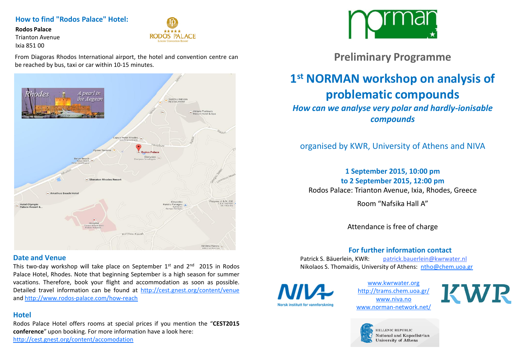#### **How to find "Rodos Palace" Hotel:**

**Rodos Palace**

Trianton Avenue Ixia 851 00



From Diagoras Rhodos International airport, the hotel and convention centre can be reached by bus, taxi or car within 10-15 minutes.



#### **Date and Venue**

This two-day workshop will take place on September  $1^{\text{st}}$  and  $2^{\text{nd}}$  2015 in Rodos Palace Hotel, Rhodes. Note that beginning September is a high season for summer vacations. Therefore, book your flight and accommodation as soon as possible. Detailed travel information can be found at <http://cest.gnest.org/content/venue> and <http://www.rodos-palace.com/how-reach>

### **Hotel**

Rodos Palace Hotel offers rooms at special prices if you mention the "**CEST2015 conference**" upon booking. For more information have a look here: <http://cest.gnest.org/content/accomodation>



**Preliminary Programme**

# **1 st NORMAN workshop on analysis of problematic compounds**

*How can we analyse very polar and hardly-ionisable compounds*

## organised by KWR, University of Athens and NIVA

**1 September 2015, 10:00 pm to 2 September 2015, 12:00 pm** Rodos Palace: Trianton Avenue, Ixia, Rhodes, Greece

Room "Nafsika Hall A"

Attendance is free of charge

## **For further information contact**

Patrick S. Bäuerlein, KWR: patrick.bauerlein@kwrwater.nl Nikolaos S. Thomaidis, University of Athens: [ntho@chem.uoa.gr](mailto:ntho@chem.uoa.gr)

Norsk institutt for vannforskn

[www.kwrwater.org](http://www.norman-network.net/) [http://trams.chem.uoa.gr/](http://www.norman-network.net/) [www.niva.no](http://www.norman-network.net/) [www.norman-network.net/](http://www.norman-network.net/)